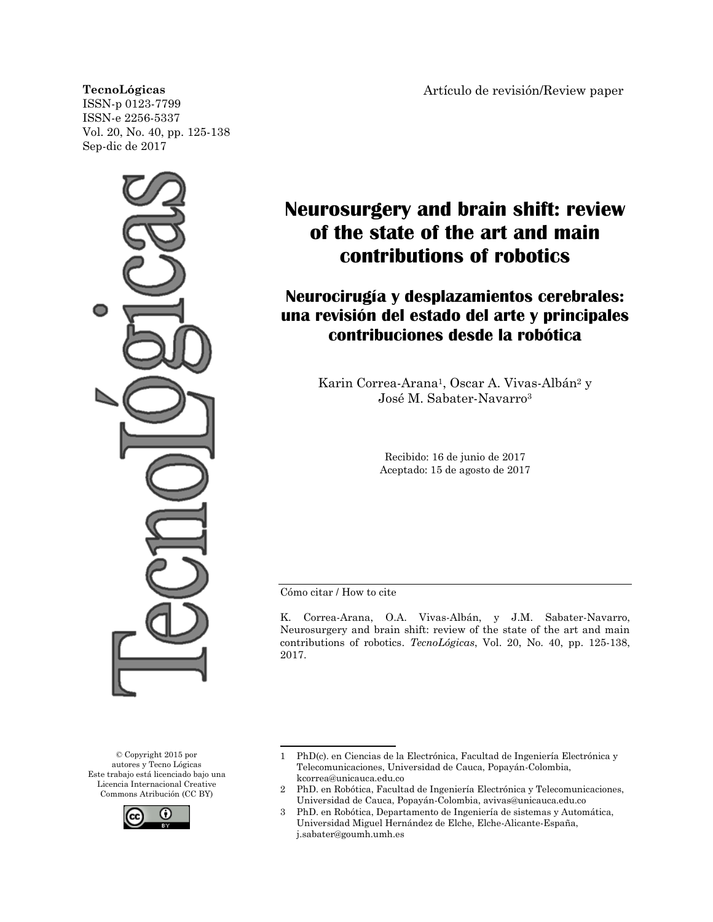#### **TecnoLógicas**

ISSN-p 0123-7799 ISSN-e 2256-5337 Vol. 20, No. 40, pp. 125-138 Sep-dic de 2017



© Copyright 2015 por autores y Tecno Lógicas Este trabajo está licenciado bajo una Licencia Internacional Creative Commons Atribución (CC BY)



Artículo de revisión/Review paper

# **Neurosurgery and brain shift: review of the state of the art and main contributions of robotics**

## **Neurocirugía y desplazamientos cerebrales: una revisión del estado del arte y principales contribuciones desde la robótica**

Karin Correa-Arana<sup>1</sup>, Oscar A. Vivas-Albán<sup>2</sup> y José M. Sabater-Navarro<sup>3</sup>

> Recibido: 16 de junio de 2017 Aceptado: 15 de agosto de 2017

Cómo citar / How to cite

K. Correa-Arana, O.A. Vivas-Albán, y J.M. Sabater-Navarro, Neurosurgery and brain shift: review of the state of the art and main contributions of robotics. *TecnoLógicas*, Vol. 20, No. 40, pp. 125-138, 2017.

<sup>1</sup> PhD(c). en Ciencias de la Electrónica, Facultad de Ingeniería Electrónica y Telecomunicaciones, Universidad de Cauca, Popayán-Colombia, kcorrea@unicauca.edu.co

<sup>2</sup> PhD. en Robótica, Facultad de Ingeniería Electrónica y Telecomunicaciones, Universidad de Cauca, Popayán-Colombia, avivas@unicauca.edu.co

<sup>3</sup> PhD. en Robótica, Departamento de Ingeniería de sistemas y Automática, Universidad Miguel Hernández de Elche, Elche-Alicante-España, j.sabater@goumh.umh.es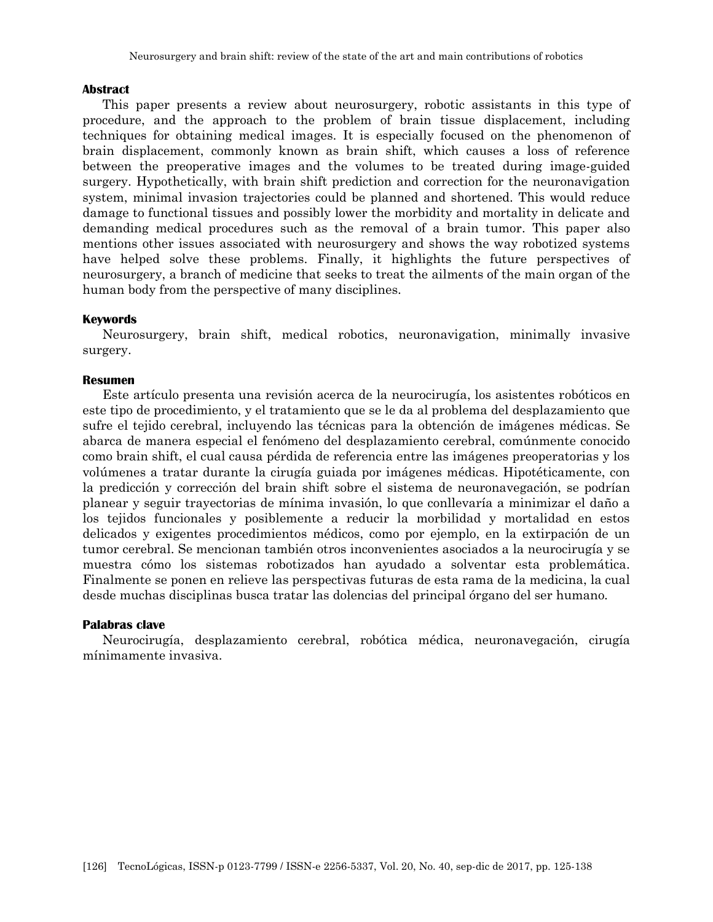#### **Abstract**

This paper presents a review about neurosurgery, robotic assistants in this type of procedure, and the approach to the problem of brain tissue displacement, including techniques for obtaining medical images. It is especially focused on the phenomenon of brain displacement, commonly known as brain shift, which causes a loss of reference between the preoperative images and the volumes to be treated during image-guided surgery. Hypothetically, with brain shift prediction and correction for the neuronavigation system, minimal invasion trajectories could be planned and shortened. This would reduce damage to functional tissues and possibly lower the morbidity and mortality in delicate and demanding medical procedures such as the removal of a brain tumor. This paper also mentions other issues associated with neurosurgery and shows the way robotized systems have helped solve these problems. Finally, it highlights the future perspectives of neurosurgery, a branch of medicine that seeks to treat the ailments of the main organ of the human body from the perspective of many disciplines.

#### **Keywords**

Neurosurgery, brain shift, medical robotics, neuronavigation, minimally invasive surgery.

### **Resumen**

Este artículo presenta una revisión acerca de la neurocirugía, los asistentes robóticos en este tipo de procedimiento, y el tratamiento que se le da al problema del desplazamiento que sufre el tejido cerebral, incluyendo las técnicas para la obtención de imágenes médicas. Se abarca de manera especial el fenómeno del desplazamiento cerebral, comúnmente conocido como brain shift, el cual causa pérdida de referencia entre las imágenes preoperatorias y los volúmenes a tratar durante la cirugía guiada por imágenes médicas. Hipotéticamente, con la predicción y corrección del brain shift sobre el sistema de neuronavegación, se podrían planear y seguir trayectorias de mínima invasión, lo que conllevaría a minimizar el daño a los tejidos funcionales y posiblemente a reducir la morbilidad y mortalidad en estos delicados y exigentes procedimientos médicos, como por ejemplo, en la extirpación de un tumor cerebral. Se mencionan también otros inconvenientes asociados a la neurocirugía y se muestra cómo los sistemas robotizados han ayudado a solventar esta problemática. Finalmente se ponen en relieve las perspectivas futuras de esta rama de la medicina, la cual desde muchas disciplinas busca tratar las dolencias del principal órgano del ser humano.

#### **Palabras clave**

Neurocirugía, desplazamiento cerebral, robótica médica, neuronavegación, cirugía mínimamente invasiva.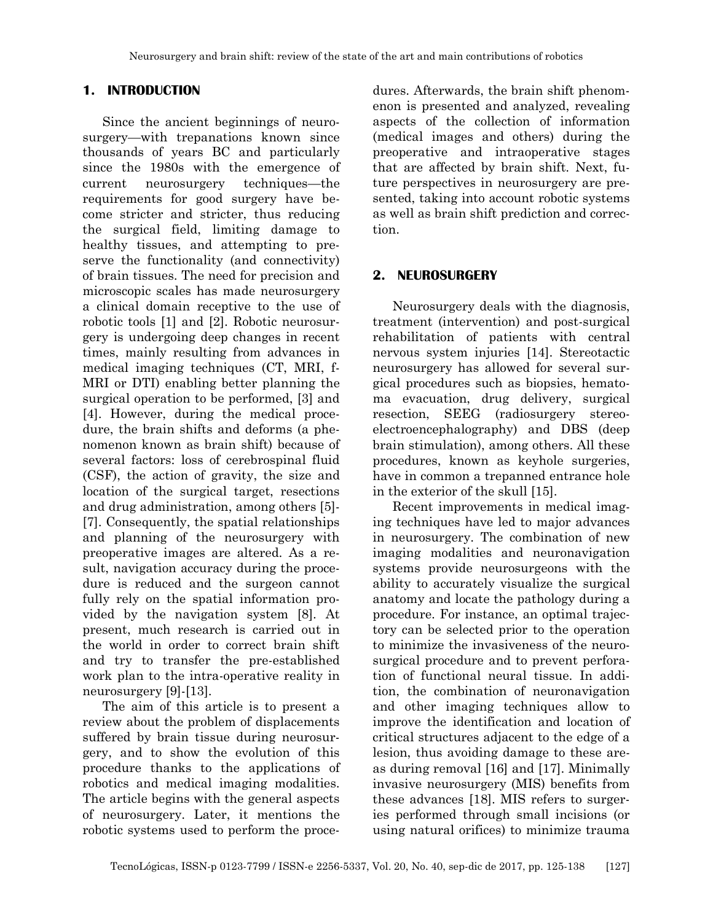## **1. INTRODUCTION**

Since the ancient beginnings of neurosurgery—with trepanations known since thousands of years BC and particularly since the 1980s with the emergence of current neurosurgery techniques—the requirements for good surgery have become stricter and stricter, thus reducing the surgical field, limiting damage to healthy tissues, and attempting to preserve the functionality (and connectivity) of brain tissues. The need for precision and microscopic scales has made neurosurgery a clinical domain receptive to the use of robotic tools [1] and [2]. Robotic neurosurgery is undergoing deep changes in recent times, mainly resulting from advances in medical imaging techniques (CT, MRI, f-MRI or DTI) enabling better planning the surgical operation to be performed, [3] and [4]. However, during the medical procedure, the brain shifts and deforms (a phenomenon known as brain shift) because of several factors: loss of cerebrospinal fluid (CSF), the action of gravity, the size and location of the surgical target, resections and drug administration, among others [5]- [7]. Consequently, the spatial relationships and planning of the neurosurgery with preoperative images are altered. As a result, navigation accuracy during the procedure is reduced and the surgeon cannot fully rely on the spatial information provided by the navigation system [8]. At present, much research is carried out in the world in order to correct brain shift and try to transfer the pre-established work plan to the intra-operative reality in neurosurgery [9]-[13].

The aim of this article is to present a review about the problem of displacements suffered by brain tissue during neurosurgery, and to show the evolution of this procedure thanks to the applications of robotics and medical imaging modalities. The article begins with the general aspects of neurosurgery. Later, it mentions the robotic systems used to perform the procedures. Afterwards, the brain shift phenomenon is presented and analyzed, revealing aspects of the collection of information (medical images and others) during the preoperative and intraoperative stages that are affected by brain shift. Next, future perspectives in neurosurgery are presented, taking into account robotic systems as well as brain shift prediction and correction.

## **2. NEUROSURGERY**

Neurosurgery deals with the diagnosis, treatment (intervention) and post-surgical rehabilitation of patients with central nervous system injuries [14]. Stereotactic neurosurgery has allowed for several surgical procedures such as biopsies, hematoma evacuation, drug delivery, surgical resection, SEEG (radiosurgery stereoelectroencephalography) and DBS (deep brain stimulation), among others. All these procedures, known as keyhole surgeries, have in common a trepanned entrance hole in the exterior of the skull [15].

Recent improvements in medical imaging techniques have led to major advances in neurosurgery. The combination of new imaging modalities and neuronavigation systems provide neurosurgeons with the ability to accurately visualize the surgical anatomy and locate the pathology during a procedure. For instance, an optimal trajectory can be selected prior to the operation to minimize the invasiveness of the neurosurgical procedure and to prevent perforation of functional neural tissue. In addition, the combination of neuronavigation and other imaging techniques allow to improve the identification and location of critical structures adjacent to the edge of a lesion, thus avoiding damage to these areas during removal [16] and [17]. Minimally invasive neurosurgery (MIS) benefits from these advances [18]. MIS refers to surgeries performed through small incisions (or using natural orifices) to minimize trauma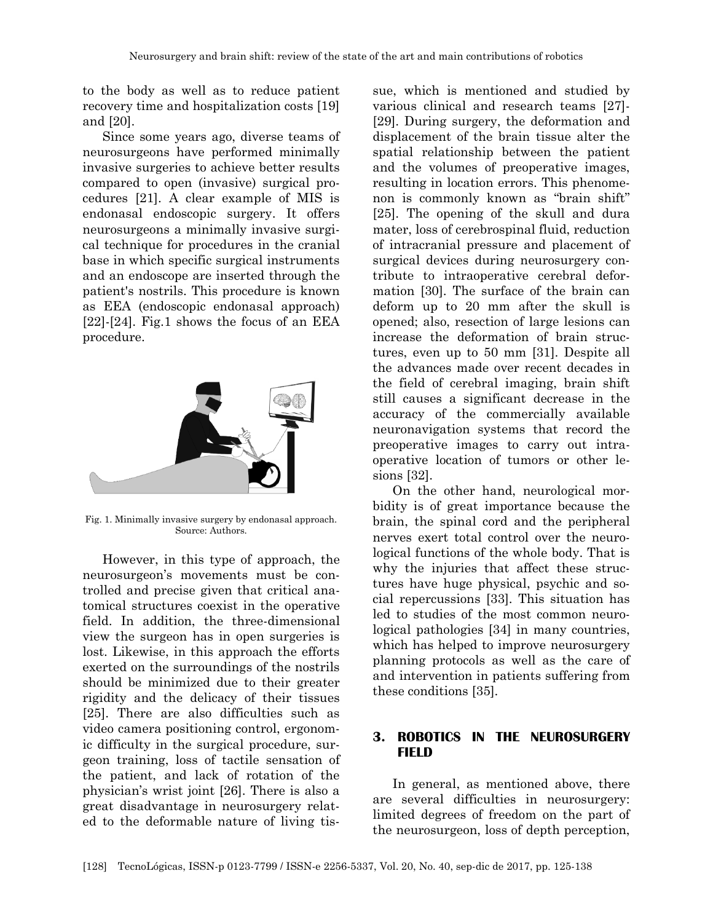to the body as well as to reduce patient recovery time and hospitalization costs [19] and [20].

Since some years ago, diverse teams of neurosurgeons have performed minimally invasive surgeries to achieve better results compared to open (invasive) surgical procedures [21]. A clear example of MIS is endonasal endoscopic surgery. It offers neurosurgeons a minimally invasive surgical technique for procedures in the cranial base in which specific surgical instruments and an endoscope are inserted through the patient's nostrils. This procedure is known as EEA (endoscopic endonasal approach)  $[22]$ - $[24]$ . Fig.1 shows the focus of an EEA procedure.



Fig. 1. Minimally invasive surgery by endonasal approach. Source: Authors.

However, in this type of approach, the neurosurgeon's movements must be controlled and precise given that critical anatomical structures coexist in the operative field. In addition, the three-dimensional view the surgeon has in open surgeries is lost. Likewise, in this approach the efforts exerted on the surroundings of the nostrils should be minimized due to their greater rigidity and the delicacy of their tissues [25]. There are also difficulties such as video camera positioning control, ergonomic difficulty in the surgical procedure, surgeon training, loss of tactile sensation of the patient, and lack of rotation of the physician's wrist joint [26]. There is also a great disadvantage in neurosurgery related to the deformable nature of living tissue, which is mentioned and studied by various clinical and research teams [27]- [29]. During surgery, the deformation and displacement of the brain tissue alter the spatial relationship between the patient and the volumes of preoperative images, resulting in location errors. This phenomenon is commonly known as "brain shift" [25]. The opening of the skull and dura mater, loss of cerebrospinal fluid, reduction of intracranial pressure and placement of surgical devices during neurosurgery contribute to intraoperative cerebral deformation [30]. The surface of the brain can deform up to 20 mm after the skull is opened; also, resection of large lesions can increase the deformation of brain structures, even up to 50 mm [31]. Despite all the advances made over recent decades in the field of cerebral imaging, brain shift still causes a significant decrease in the accuracy of the commercially available neuronavigation systems that record the preoperative images to carry out intraoperative location of tumors or other lesions [32].

On the other hand, neurological morbidity is of great importance because the brain, the spinal cord and the peripheral nerves exert total control over the neurological functions of the whole body. That is why the injuries that affect these structures have huge physical, psychic and social repercussions [33]. This situation has led to studies of the most common neurological pathologies [34] in many countries, which has helped to improve neurosurgery planning protocols as well as the care of and intervention in patients suffering from these conditions [35].

## **3. ROBOTICS IN THE NEUROSURGERY FIELD**

In general, as mentioned above, there are several difficulties in neurosurgery: limited degrees of freedom on the part of the neurosurgeon, loss of depth perception,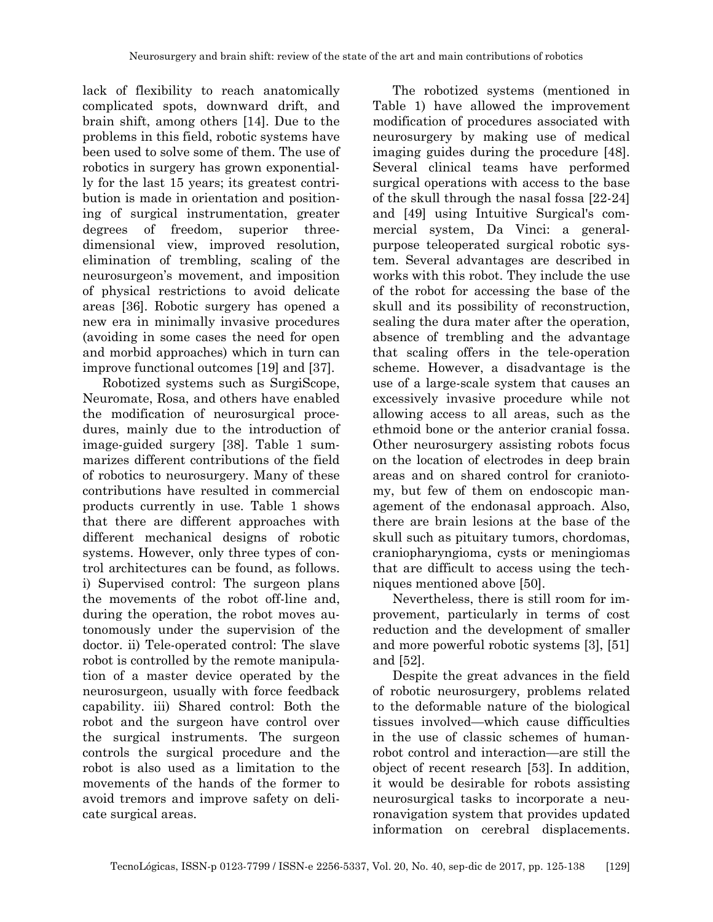lack of flexibility to reach anatomically complicated spots, downward drift, and brain shift, among others [14]. Due to the problems in this field, robotic systems have been used to solve some of them. The use of robotics in surgery has grown exponentially for the last 15 years; its greatest contribution is made in orientation and positioning of surgical instrumentation, greater degrees of freedom, superior threedimensional view, improved resolution, elimination of trembling, scaling of the neurosurgeon's movement, and imposition of physical restrictions to avoid delicate areas [36]. Robotic surgery has opened a new era in minimally invasive procedures (avoiding in some cases the need for open and morbid approaches) which in turn can improve functional outcomes [19] and [37].

Robotized systems such as SurgiScope, Neuromate, Rosa, and others have enabled the modification of neurosurgical procedures, mainly due to the introduction of image-guided surgery [38]. Table 1 summarizes different contributions of the field of robotics to neurosurgery. Many of these contributions have resulted in commercial products currently in use. Table 1 shows that there are different approaches with different mechanical designs of robotic systems. However, only three types of control architectures can be found, as follows. i) Supervised control: The surgeon plans the movements of the robot off-line and, during the operation, the robot moves autonomously under the supervision of the doctor. ii) Tele-operated control: The slave robot is controlled by the remote manipulation of a master device operated by the neurosurgeon, usually with force feedback capability. iii) Shared control: Both the robot and the surgeon have control over the surgical instruments. The surgeon controls the surgical procedure and the robot is also used as a limitation to the movements of the hands of the former to avoid tremors and improve safety on delicate surgical areas.

The robotized systems (mentioned in Table 1) have allowed the improvement modification of procedures associated with neurosurgery by making use of medical imaging guides during the procedure [48]. Several clinical teams have performed surgical operations with access to the base of the skull through the nasal fossa [22-24] and [49] using Intuitive Surgical's commercial system, Da Vinci: a generalpurpose teleoperated surgical robotic system. Several advantages are described in works with this robot. They include the use of the robot for accessing the base of the skull and its possibility of reconstruction, sealing the dura mater after the operation, absence of trembling and the advantage that scaling offers in the tele-operation scheme. However, a disadvantage is the use of a large-scale system that causes an excessively invasive procedure while not allowing access to all areas, such as the ethmoid bone or the anterior cranial fossa. Other neurosurgery assisting robots focus on the location of electrodes in deep brain areas and on shared control for craniotomy, but few of them on endoscopic management of the endonasal approach. Also, there are brain lesions at the base of the skull such as pituitary tumors, chordomas, craniopharyngioma, cysts or meningiomas that are difficult to access using the techniques mentioned above [50].

Nevertheless, there is still room for improvement, particularly in terms of cost reduction and the development of smaller and more powerful robotic systems [3], [51] and [52].

Despite the great advances in the field of robotic neurosurgery, problems related to the deformable nature of the biological tissues involved—which cause difficulties in the use of classic schemes of humanrobot control and interaction—are still the object of recent research [53]. In addition, it would be desirable for robots assisting neurosurgical tasks to incorporate a neuronavigation system that provides updated information on cerebral displacements.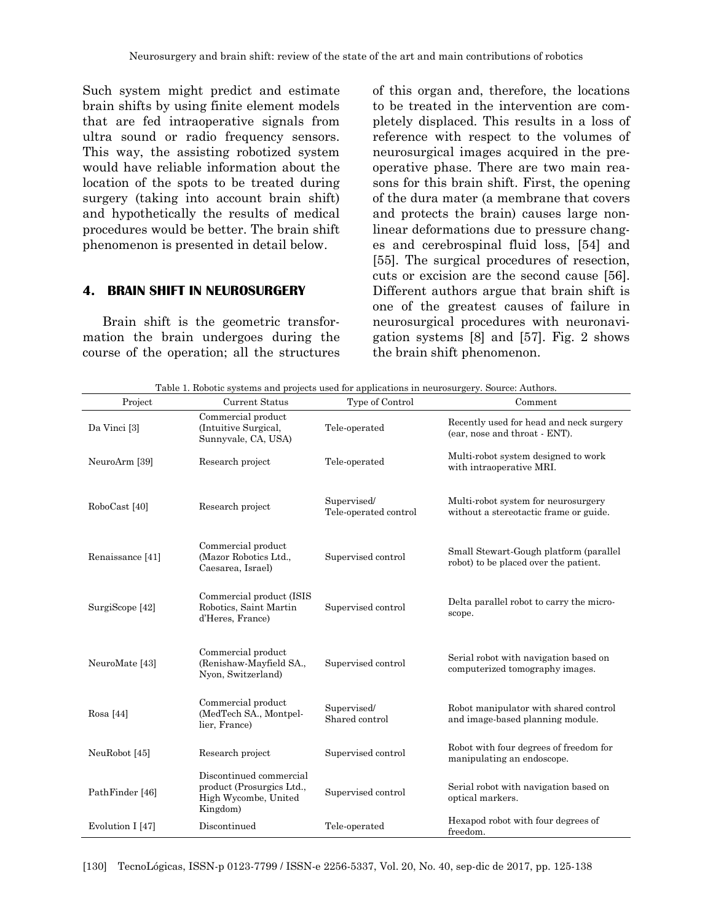Such system might predict and estimate brain shifts by using finite element models that are fed intraoperative signals from ultra sound or radio frequency sensors. This way, the assisting robotized system would have reliable information about the location of the spots to be treated during surgery (taking into account brain shift) and hypothetically the results of medical procedures would be better. The brain shift phenomenon is presented in detail below.

## **4. BRAIN SHIFT IN NEUROSURGERY**

Brain shift is the geometric transformation the brain undergoes during the course of the operation; all the structures

of this organ and, therefore, the locations to be treated in the intervention are completely displaced. This results in a loss of reference with respect to the volumes of neurosurgical images acquired in the preoperative phase. There are two main reasons for this brain shift. First, the opening of the dura mater (a membrane that covers and protects the brain) causes large nonlinear deformations due to pressure changes and cerebrospinal fluid loss, [54] and [55]. The surgical procedures of resection, cuts or excision are the second cause [56]. Different authors argue that brain shift is one of the greatest causes of failure in neurosurgical procedures with neuronavigation systems [8] and [57]. Fig. 2 shows the brain shift phenomenon.

Table 1. Robotic systems and projects used for applications in neurosurgery. Source: Authors.

| Project          | Current Status                                                                           | Type of Control                      | Comment                                                                         |
|------------------|------------------------------------------------------------------------------------------|--------------------------------------|---------------------------------------------------------------------------------|
| Da Vinci [3]     | Commercial product<br>(Intuitive Surgical,<br>Sunnyvale, CA, USA)                        | Tele-operated                        | Recently used for head and neck surgery<br>(ear, nose and throat - ENT).        |
| NeuroArm [39]    | Research project                                                                         | Tele-operated                        | Multi-robot system designed to work<br>with intraoperative MRI.                 |
| RoboCast [40]    | Research project                                                                         | Supervised/<br>Tele-operated control | Multi-robot system for neurosurgery<br>without a stereotactic frame or guide.   |
| Renaissance [41] | Commercial product<br>(Mazor Robotics Ltd.,<br>Caesarea, Israel)                         | Supervised control                   | Small Stewart-Gough platform (parallel<br>robot) to be placed over the patient. |
| SurgiScope [42]  | Commercial product (ISIS<br>Robotics, Saint Martin<br>d'Heres, France)                   | Supervised control                   | Delta parallel robot to carry the micro-<br>scope.                              |
| NeuroMate [43]   | Commercial product<br>(Renishaw-Mayfield SA.,<br>Nyon, Switzerland)                      | Supervised control                   | Serial robot with navigation based on<br>computerized tomography images.        |
| Rosa $[44]$      | Commercial product<br>(MedTech SA., Montpel-<br>lier, France)                            | Supervised/<br>Shared control        | Robot manipulator with shared control<br>and image-based planning module.       |
| NeuRobot [45]    | Research project                                                                         | Supervised control                   | Robot with four degrees of freedom for<br>manipulating an endoscope.            |
| PathFinder [46]  | Discontinued commercial<br>product (Prosurgics Ltd.,<br>High Wycombe, United<br>Kingdom) | Supervised control                   | Serial robot with navigation based on<br>optical markers.                       |
| Evolution I [47] | Discontinued                                                                             | Tele-operated                        | Hexapod robot with four degrees of<br>freedom.                                  |

[130] TecnoLógicas, ISSN-p 0123-7799 / ISSN-e 2256-5337, Vol. 20, No. 40, sep-dic de 2017, pp. 125-138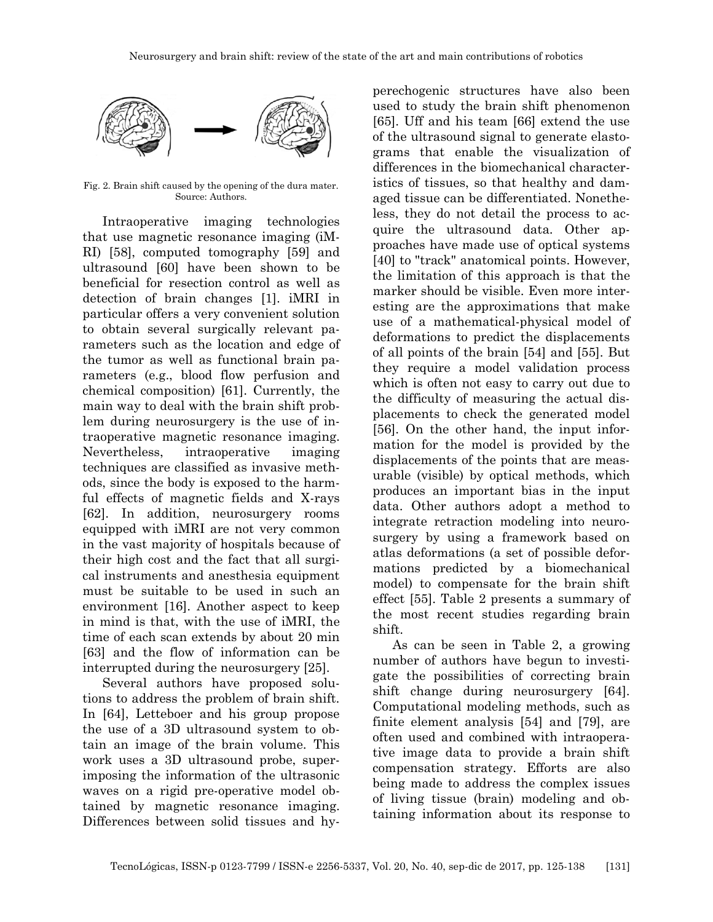

Fig. 2. Brain shift caused by the opening of the dura mater. Source: Authors.

Intraoperative imaging technologies that use magnetic resonance imaging (iM-RI) [58], computed tomography [59] and ultrasound [60] have been shown to be beneficial for resection control as well as detection of brain changes [1]. iMRI in particular offers a very convenient solution to obtain several surgically relevant parameters such as the location and edge of the tumor as well as functional brain parameters (e.g., blood flow perfusion and chemical composition) [61]. Currently, the main way to deal with the brain shift problem during neurosurgery is the use of intraoperative magnetic resonance imaging. Nevertheless, intraoperative imaging techniques are classified as invasive methods, since the body is exposed to the harmful effects of magnetic fields and X-rays [62]. In addition, neurosurgery rooms equipped with iMRI are not very common in the vast majority of hospitals because of their high cost and the fact that all surgical instruments and anesthesia equipment must be suitable to be used in such an environment [16]. Another aspect to keep in mind is that, with the use of iMRI, the time of each scan extends by about 20 min [63] and the flow of information can be interrupted during the neurosurgery [25].

Several authors have proposed solutions to address the problem of brain shift. In [64], Letteboer and his group propose the use of a 3D ultrasound system to obtain an image of the brain volume. This work uses a 3D ultrasound probe, superimposing the information of the ultrasonic waves on a rigid pre-operative model obtained by magnetic resonance imaging. Differences between solid tissues and hyperechogenic structures have also been used to study the brain shift phenomenon [65]. Uff and his team [66] extend the use of the ultrasound signal to generate elastograms that enable the visualization of differences in the biomechanical characteristics of tissues, so that healthy and damaged tissue can be differentiated. Nonetheless, they do not detail the process to acquire the ultrasound data. Other approaches have made use of optical systems [40] to "track" anatomical points. However, the limitation of this approach is that the marker should be visible. Even more interesting are the approximations that make use of a mathematical-physical model of deformations to predict the displacements of all points of the brain [54] and [55]. But they require a model validation process which is often not easy to carry out due to the difficulty of measuring the actual displacements to check the generated model [56]. On the other hand, the input information for the model is provided by the displacements of the points that are measurable (visible) by optical methods, which produces an important bias in the input data. Other authors adopt a method to integrate retraction modeling into neurosurgery by using a framework based on atlas deformations (a set of possible deformations predicted by a biomechanical model) to compensate for the brain shift effect [55]. Table 2 presents a summary of the most recent studies regarding brain shift.

As can be seen in Table 2, a growing number of authors have begun to investigate the possibilities of correcting brain shift change during neurosurgery [64]. Computational modeling methods, such as finite element analysis [54] and [79], are often used and combined with intraoperative image data to provide a brain shift compensation strategy. Efforts are also being made to address the complex issues of living tissue (brain) modeling and obtaining information about its response to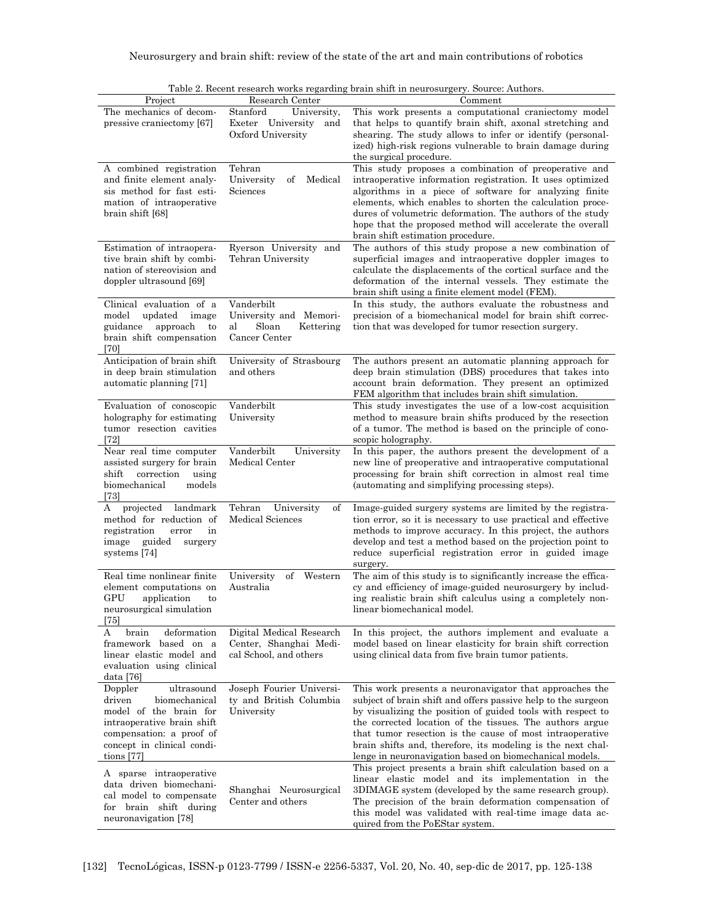|                                                                                                                                                                                    |                                                                                   | Table 2. Necent research works regarding brain shift in heurosurgery. Source: Authors.                                                                                                                                                                                                                                                                                                                                                    |
|------------------------------------------------------------------------------------------------------------------------------------------------------------------------------------|-----------------------------------------------------------------------------------|-------------------------------------------------------------------------------------------------------------------------------------------------------------------------------------------------------------------------------------------------------------------------------------------------------------------------------------------------------------------------------------------------------------------------------------------|
| Project                                                                                                                                                                            | Research Center                                                                   | Comment                                                                                                                                                                                                                                                                                                                                                                                                                                   |
| The mechanics of decom-<br>pressive craniectomy [67]                                                                                                                               | Stanford<br>University,<br>Exeter University<br>and<br>Oxford University          | This work presents a computational craniectomy model<br>that helps to quantify brain shift, axonal stretching and<br>shearing. The study allows to infer or identify (personal-<br>ized) high-risk regions vulnerable to brain damage during<br>the surgical procedure.                                                                                                                                                                   |
| A combined registration<br>and finite element analy-<br>sis method for fast esti-<br>mation of intraoperative<br>brain shift [68]                                                  | Tehran<br>University<br>Medical<br>of<br>Sciences                                 | This study proposes a combination of preoperative and<br>intraoperative information registration. It uses optimized<br>algorithms in a piece of software for analyzing finite<br>elements, which enables to shorten the calculation proce-<br>dures of volumetric deformation. The authors of the study<br>hope that the proposed method will accelerate the overall<br>brain shift estimation procedure.                                 |
| Estimation of intraopera-<br>tive brain shift by combi-<br>nation of stereovision and<br>doppler ultrasound [69]                                                                   | Ryerson University and<br>Tehran University                                       | The authors of this study propose a new combination of<br>superficial images and intraoperative doppler images to<br>calculate the displacements of the cortical surface and the<br>deformation of the internal vessels. They estimate the<br>brain shift using a finite element model (FEM).                                                                                                                                             |
| Clinical evaluation of a<br>model<br>updated<br>image<br>guidance<br>approach<br>to<br>brain shift compensation<br>[70]                                                            | Vanderbilt<br>University and Memori-<br>al<br>Sloan<br>Kettering<br>Cancer Center | In this study, the authors evaluate the robustness and<br>precision of a biomechanical model for brain shift correc-<br>tion that was developed for tumor resection surgery.                                                                                                                                                                                                                                                              |
| Anticipation of brain shift<br>in deep brain stimulation<br>automatic planning [71]                                                                                                | University of Strasbourg<br>and others                                            | The authors present an automatic planning approach for<br>deep brain stimulation (DBS) procedures that takes into<br>account brain deformation. They present an optimized<br>FEM algorithm that includes brain shift simulation.                                                                                                                                                                                                          |
| Evaluation of conoscopic<br>holography for estimating<br>tumor resection cavities<br>[72]                                                                                          | Vanderbilt<br>University                                                          | This study investigates the use of a low-cost acquisition<br>method to measure brain shifts produced by the resection<br>of a tumor. The method is based on the principle of cono-<br>scopic holography.                                                                                                                                                                                                                                  |
| Near real time computer<br>assisted surgery for brain<br>correction<br>${\rm shift}$<br>using<br>biomechanical<br>models<br>$[73]$                                                 | Vanderbilt<br>University<br>Medical Center                                        | In this paper, the authors present the development of a<br>new line of preoperative and intraoperative computational<br>processing for brain shift correction in almost real time<br>(automating and simplifying processing steps).                                                                                                                                                                                                       |
| landmark<br>projected<br>А<br>method for reduction of<br>registration<br>error<br>in<br>image<br>guided<br>surgery<br>systems [74]                                                 | University<br>Tehran<br>οf<br>Medical Sciences                                    | Image-guided surgery systems are limited by the registra-<br>tion error, so it is necessary to use practical and effective<br>methods to improve accuracy. In this project, the authors<br>develop and test a method based on the projection point to<br>reduce superficial registration error in guided image<br>surgery.                                                                                                                |
| Real time nonlinear finite<br>element computations on<br>GPU<br>application<br>to<br>neurosurgical simulation<br>$[75]$                                                            | University<br>of<br>Western<br>Australia                                          | The aim of this study is to significantly increase the effica-<br>cy and efficiency of image-guided neurosurgery by includ-<br>ing realistic brain shift calculus using a completely non-<br>linear biomechanical model.                                                                                                                                                                                                                  |
| brain<br>deformation<br>A<br>framework based on a<br>linear elastic model and<br>evaluation using clinical<br>data [76]                                                            | Digital Medical Research<br>Center, Shanghai Medi-<br>cal School, and others      | In this project, the authors implement and evaluate a<br>model based on linear elasticity for brain shift correction<br>using clinical data from five brain tumor patients.                                                                                                                                                                                                                                                               |
| ultrasound<br>Doppler<br>biomechanical<br>driven<br>model of the brain for<br>intraoperative brain shift<br>compensation: a proof of<br>concept in clinical condi-<br>tions $[77]$ | Joseph Fourier Universi-<br>ty and British Columbia<br>University                 | This work presents a neuronavigator that approaches the<br>subject of brain shift and offers passive help to the surgeon<br>by visualizing the position of guided tools with respect to<br>the corrected location of the tissues. The authors argue<br>that tumor resection is the cause of most intraoperative<br>brain shifts and, therefore, its modeling is the next chal-<br>lenge in neuronavigation based on biomechanical models. |
| A sparse intraoperative<br>data driven biomechani-<br>cal model to compensate<br>for brain shift during<br>neuronavigation [78]                                                    | Shanghai Neurosurgical<br>Center and others                                       | This project presents a brain shift calculation based on a<br>linear elastic model and its implementation in the<br>3DIMAGE system (developed by the same research group).<br>The precision of the brain deformation compensation of<br>this model was validated with real-time image data ac-<br>quired from the PoEStar system.                                                                                                         |

Table 2. Recent research works regarding brain shift in neurosurgery. Source: Authors.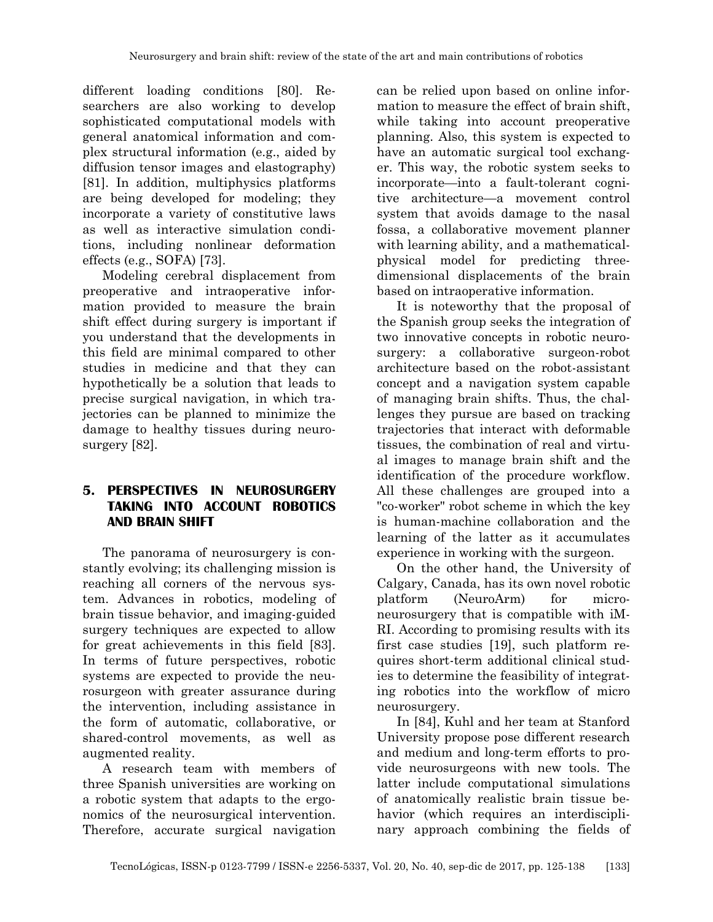different loading conditions [80]. Researchers are also working to develop sophisticated computational models with general anatomical information and complex structural information (e.g., aided by diffusion tensor images and elastography) [81]. In addition, multiphysics platforms are being developed for modeling; they incorporate a variety of constitutive laws as well as interactive simulation conditions, including nonlinear deformation effects (e.g., SOFA) [73].

Modeling cerebral displacement from preoperative and intraoperative information provided to measure the brain shift effect during surgery is important if you understand that the developments in this field are minimal compared to other studies in medicine and that they can hypothetically be a solution that leads to precise surgical navigation, in which trajectories can be planned to minimize the damage to healthy tissues during neurosurgery [82].

## **5. PERSPECTIVES IN NEUROSURGERY TAKING INTO ACCOUNT ROBOTICS AND BRAIN SHIFT**

The panorama of neurosurgery is constantly evolving; its challenging mission is reaching all corners of the nervous system. Advances in robotics, modeling of brain tissue behavior, and imaging-guided surgery techniques are expected to allow for great achievements in this field [83]. In terms of future perspectives, robotic systems are expected to provide the neurosurgeon with greater assurance during the intervention, including assistance in the form of automatic, collaborative, or shared-control movements, as well as augmented reality.

A research team with members of three Spanish universities are working on a robotic system that adapts to the ergonomics of the neurosurgical intervention. Therefore, accurate surgical navigation

can be relied upon based on online information to measure the effect of brain shift, while taking into account preoperative planning. Also, this system is expected to have an automatic surgical tool exchanger. This way, the robotic system seeks to incorporate—into a fault-tolerant cognitive architecture—a movement control system that avoids damage to the nasal fossa, a collaborative movement planner with learning ability, and a mathematicalphysical model for predicting threedimensional displacements of the brain based on intraoperative information.

It is noteworthy that the proposal of the Spanish group seeks the integration of two innovative concepts in robotic neurosurgery: a collaborative surgeon-robot architecture based on the robot-assistant concept and a navigation system capable of managing brain shifts. Thus, the challenges they pursue are based on tracking trajectories that interact with deformable tissues, the combination of real and virtual images to manage brain shift and the identification of the procedure workflow. All these challenges are grouped into a "co-worker" robot scheme in which the key is human-machine collaboration and the learning of the latter as it accumulates experience in working with the surgeon.

On the other hand, the University of Calgary, Canada, has its own novel robotic platform (NeuroArm) for microneurosurgery that is compatible with iM-RI. According to promising results with its first case studies [19], such platform requires short-term additional clinical studies to determine the feasibility of integrating robotics into the workflow of micro neurosurgery.

In [84], Kuhl and her team at Stanford University propose pose different research and medium and long-term efforts to provide neurosurgeons with new tools. The latter include computational simulations of anatomically realistic brain tissue behavior (which requires an interdisciplinary approach combining the fields of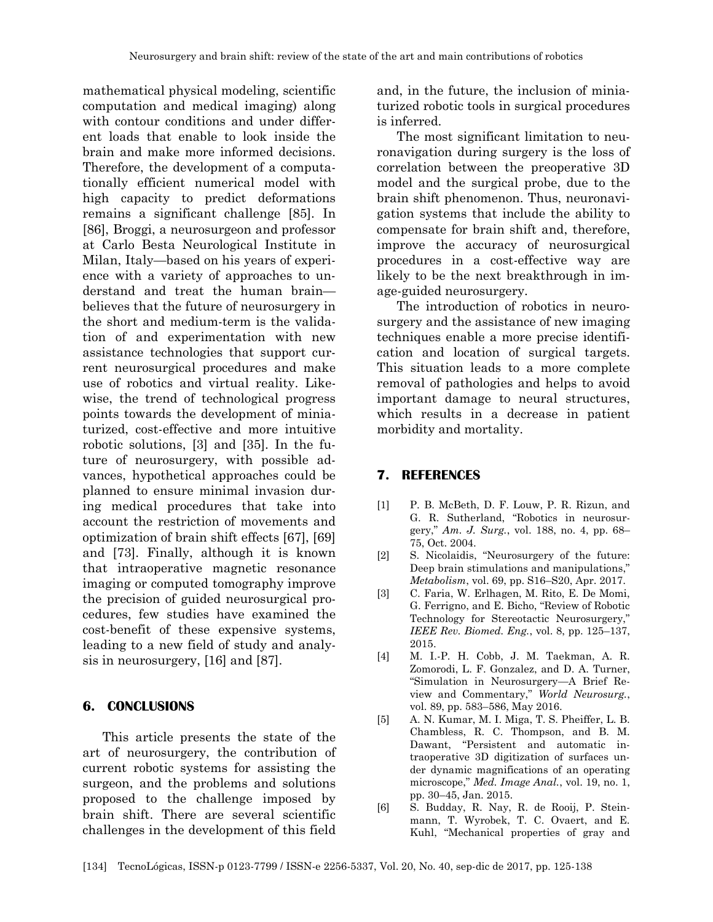mathematical physical modeling, scientific computation and medical imaging) along with contour conditions and under different loads that enable to look inside the brain and make more informed decisions. Therefore, the development of a computationally efficient numerical model with high capacity to predict deformations remains a significant challenge [85]. In [86], Broggi, a neurosurgeon and professor at Carlo Besta Neurological Institute in Milan, Italy—based on his years of experience with a variety of approaches to understand and treat the human brain believes that the future of neurosurgery in the short and medium-term is the validation of and experimentation with new assistance technologies that support current neurosurgical procedures and make use of robotics and virtual reality. Likewise, the trend of technological progress points towards the development of miniaturized, cost-effective and more intuitive robotic solutions, [3] and [35]. In the future of neurosurgery, with possible advances, hypothetical approaches could be planned to ensure minimal invasion during medical procedures that take into account the restriction of movements and optimization of brain shift effects [67], [69] and [73]. Finally, although it is known that intraoperative magnetic resonance imaging or computed tomography improve the precision of guided neurosurgical procedures, few studies have examined the cost-benefit of these expensive systems, leading to a new field of study and analysis in neurosurgery, [16] and [87].

### **6. CONCLUSIONS**

This article presents the state of the art of neurosurgery, the contribution of current robotic systems for assisting the surgeon, and the problems and solutions proposed to the challenge imposed by brain shift. There are several scientific challenges in the development of this field

and, in the future, the inclusion of miniaturized robotic tools in surgical procedures is inferred.

The most significant limitation to neuronavigation during surgery is the loss of correlation between the preoperative 3D model and the surgical probe, due to the brain shift phenomenon. Thus, neuronavigation systems that include the ability to compensate for brain shift and, therefore, improve the accuracy of neurosurgical procedures in a cost-effective way are likely to be the next breakthrough in image-guided neurosurgery.

The introduction of robotics in neurosurgery and the assistance of new imaging techniques enable a more precise identification and location of surgical targets. This situation leads to a more complete removal of pathologies and helps to avoid important damage to neural structures, which results in a decrease in patient morbidity and mortality.

## **7. REFERENCES**

- [1] P. B. McBeth, D. F. Louw, P. R. Rizun, and G. R. Sutherland, "Robotics in neurosurgery," *Am. J. Surg.*, vol. 188, no. 4, pp. 68– 75, Oct. 2004.
- [2] S. Nicolaidis, "Neurosurgery of the future: Deep brain stimulations and manipulations," *Metabolism*, vol. 69, pp. S16–S20, Apr. 2017.
- [3] C. Faria, W. Erlhagen, M. Rito, E. De Momi, G. Ferrigno, and E. Bicho, "Review of Robotic Technology for Stereotactic Neurosurgery," *IEEE Rev. Biomed. Eng.*, vol. 8, pp. 125–137, 2015.
- [4] M. I.-P. H. Cobb, J. M. Taekman, A. R. Zomorodi, L. F. Gonzalez, and D. A. Turner, "Simulation in Neurosurgery—A Brief Review and Commentary," *World Neurosurg.*, vol. 89, pp. 583–586, May 2016.
- [5] A. N. Kumar, M. I. Miga, T. S. Pheiffer, L. B. Chambless, R. C. Thompson, and B. M. Dawant, "Persistent and automatic intraoperative 3D digitization of surfaces under dynamic magnifications of an operating microscope," *Med. Image Anal.*, vol. 19, no. 1, pp. 30–45, Jan. 2015.
- [6] S. Budday, R. Nay, R. de Rooij, P. Steinmann, T. Wyrobek, T. C. Ovaert, and E. Kuhl, "Mechanical properties of gray and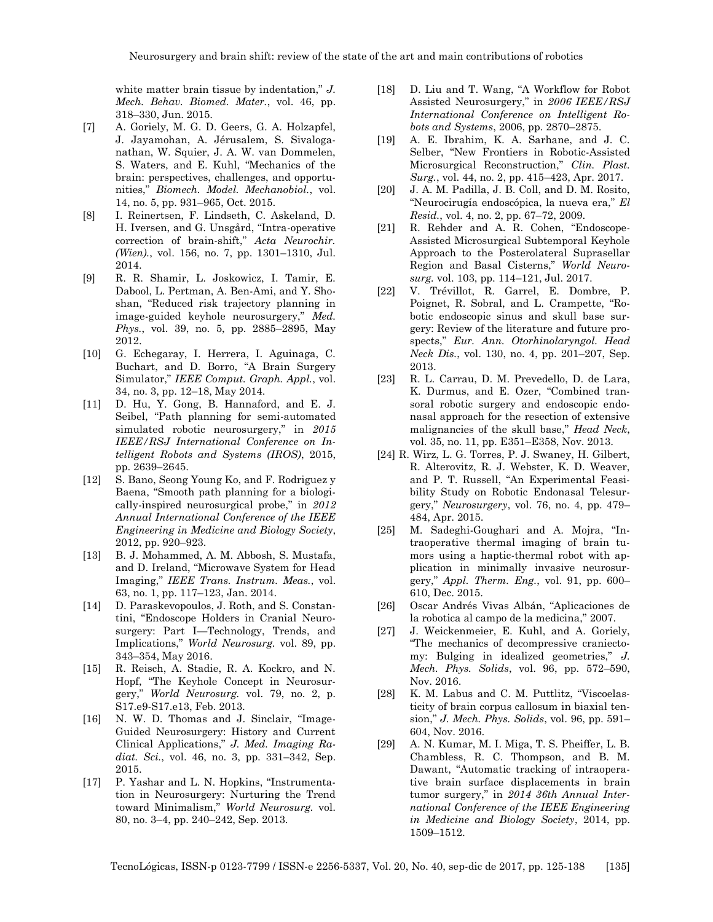white matter brain tissue by indentation," *J. Mech. Behav. Biomed. Mater.*, vol. 46, pp. 318–330, Jun. 2015.

- [7] A. Goriely, M. G. D. Geers, G. A. Holzapfel, J. Jayamohan, A. Jérusalem, S. Sivaloganathan, W. Squier, J. A. W. van Dommelen, S. Waters, and E. Kuhl, "Mechanics of the brain: perspectives, challenges, and opportunities," *Biomech. Model. Mechanobiol.*, vol. 14, no. 5, pp. 931–965, Oct. 2015.
- [8] I. Reinertsen, F. Lindseth, C. Askeland, D. H. Iversen, and G. Unsgård, "Intra-operative correction of brain-shift," *Acta Neurochir. (Wien).*, vol. 156, no. 7, pp. 1301–1310, Jul. 2014.
- [9] R. R. Shamir, L. Joskowicz, I. Tamir, E. Dabool, L. Pertman, A. Ben-Ami, and Y. Shoshan, "Reduced risk trajectory planning in image-guided keyhole neurosurgery," *Med. Phys.*, vol. 39, no. 5, pp. 2885–2895, May 2012.
- [10] G. Echegaray, I. Herrera, I. Aguinaga, C. Buchart, and D. Borro, "A Brain Surgery Simulator," *IEEE Comput. Graph. Appl.*, vol. 34, no. 3, pp. 12–18, May 2014.
- [11] D. Hu, Y. Gong, B. Hannaford, and E. J. Seibel, "Path planning for semi-automated simulated robotic neurosurgery," in *2015 IEEE/RSJ International Conference on Intelligent Robots and Systems (IROS)*, 2015, pp. 2639–2645.
- [12] S. Bano, Seong Young Ko, and F. Rodriguez y Baena, "Smooth path planning for a biologically-inspired neurosurgical probe," in *2012 Annual International Conference of the IEEE Engineering in Medicine and Biology Society*, 2012, pp. 920–923.
- [13] B. J. Mohammed, A. M. Abbosh, S. Mustafa, and D. Ireland, "Microwave System for Head Imaging," *IEEE Trans. Instrum. Meas.*, vol. 63, no. 1, pp. 117–123, Jan. 2014.
- [14] D. Paraskevopoulos, J. Roth, and S. Constantini, "Endoscope Holders in Cranial Neurosurgery: Part I—Technology, Trends, and Implications," *World Neurosurg.* vol. 89, pp. 343–354, May 2016.
- [15] R. Reisch, A. Stadie, R. A. Kockro, and N. Hopf, "The Keyhole Concept in Neurosurgery," *World Neurosurg.* vol. 79, no. 2, p. S17.e9-S17.e13, Feb. 2013.
- [16] N. W. D. Thomas and J. Sinclair, "Image-Guided Neurosurgery: History and Current Clinical Applications," *J. Med. Imaging Radiat. Sci.*, vol. 46, no. 3, pp. 331–342, Sep. 2015.
- [17] P. Yashar and L. N. Hopkins, "Instrumentation in Neurosurgery: Nurturing the Trend toward Minimalism," *World Neurosurg.* vol. 80, no. 3–4, pp. 240–242, Sep. 2013.
- [18] D. Liu and T. Wang, "A Workflow for Robot Assisted Neurosurgery," in *2006 IEEE/RSJ International Conference on Intelligent Robots and Systems*, 2006, pp. 2870–2875.
- [19] A. E. Ibrahim, K. A. Sarhane, and J. C. Selber, "New Frontiers in Robotic-Assisted Microsurgical Reconstruction," *Clin. Plast. Surg.*, vol. 44, no. 2, pp. 415–423, Apr. 2017.
- [20] J. A. M. Padilla, J. B. Coll, and D. M. Rosito, "Neurocirugía endoscópica, la nueva era," *El Resid.*, vol. 4, no. 2, pp. 67–72, 2009.
- [21] R. Rehder and A. R. Cohen, "Endoscope-Assisted Microsurgical Subtemporal Keyhole Approach to the Posterolateral Suprasellar Region and Basal Cisterns," *World Neurosurg.* vol. 103, pp. 114–121, Jul. 2017.
- [22] V. Trévillot, R. Garrel, E. Dombre, P. Poignet, R. Sobral, and L. Crampette, "Robotic endoscopic sinus and skull base surgery: Review of the literature and future prospects," *Eur. Ann. Otorhinolaryngol. Head Neck Dis.*, vol. 130, no. 4, pp. 201–207, Sep. 2013.
- [23] R. L. Carrau, D. M. Prevedello, D. de Lara, K. Durmus, and E. Ozer, "Combined transoral robotic surgery and endoscopic endonasal approach for the resection of extensive malignancies of the skull base," *Head Neck*, vol. 35, no. 11, pp. E351–E358, Nov. 2013.
- [24] R. Wirz, L. G. Torres, P. J. Swaney, H. Gilbert, R. Alterovitz, R. J. Webster, K. D. Weaver, and P. T. Russell, "An Experimental Feasibility Study on Robotic Endonasal Telesurgery," *Neurosurgery*, vol. 76, no. 4, pp. 479– 484, Apr. 2015.
- [25] M. Sadeghi-Goughari and A. Mojra, "Intraoperative thermal imaging of brain tumors using a haptic-thermal robot with application in minimally invasive neurosurgery," *Appl. Therm. Eng.*, vol. 91, pp. 600– 610, Dec. 2015.
- [26] Oscar Andrés Vivas Albán, "Aplicaciones de la robotica al campo de la medicina," 2007.
- [27] J. Weickenmeier, E. Kuhl, and A. Goriely, "The mechanics of decompressive craniectomy: Bulging in idealized geometries," *J. Mech. Phys. Solids*, vol. 96, pp. 572–590, Nov. 2016.
- [28] K. M. Labus and C. M. Puttlitz, "Viscoelasticity of brain corpus callosum in biaxial tension," *J. Mech. Phys. Solids*, vol. 96, pp. 591– 604, Nov. 2016.
- [29] A. N. Kumar, M. I. Miga, T. S. Pheiffer, L. B. Chambless, R. C. Thompson, and B. M. Dawant, "Automatic tracking of intraoperative brain surface displacements in brain tumor surgery," in *2014 36th Annual International Conference of the IEEE Engineering in Medicine and Biology Society*, 2014, pp. 1509–1512.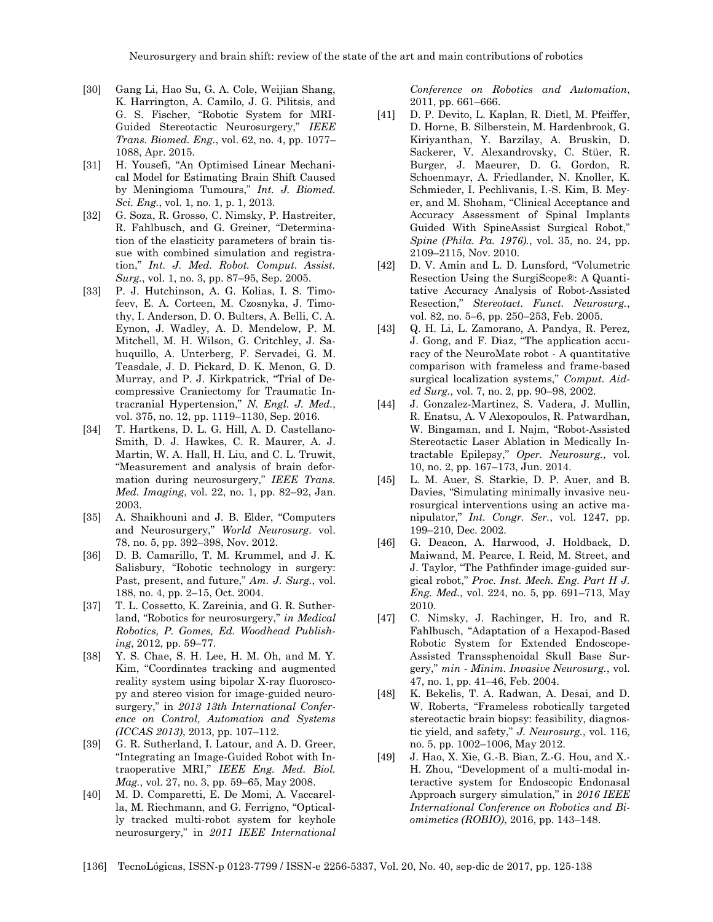- [30] Gang Li, Hao Su, G. A. Cole, Weijian Shang, K. Harrington, A. Camilo, J. G. Pilitsis, and G. S. Fischer, "Robotic System for MRI-Guided Stereotactic Neurosurgery," *IEEE Trans. Biomed. Eng.*, vol. 62, no. 4, pp. 1077– 1088, Apr. 2015.
- [31] H. Yousefi, "An Optimised Linear Mechanical Model for Estimating Brain Shift Caused by Meningioma Tumours," *Int. J. Biomed. Sci. Eng.*, vol. 1, no. 1, p. 1, 2013.
- [32] G. Soza, R. Grosso, C. Nimsky, P. Hastreiter, R. Fahlbusch, and G. Greiner, "Determination of the elasticity parameters of brain tissue with combined simulation and registration," *Int. J. Med. Robot. Comput. Assist. Surg.*, vol. 1, no. 3, pp. 87–95, Sep. 2005.
- [33] P. J. Hutchinson, A. G. Kolias, I. S. Timofeev, E. A. Corteen, M. Czosnyka, J. Timothy, I. Anderson, D. O. Bulters, A. Belli, C. A. Eynon, J. Wadley, A. D. Mendelow, P. M. Mitchell, M. H. Wilson, G. Critchley, J. Sahuquillo, A. Unterberg, F. Servadei, G. M. Teasdale, J. D. Pickard, D. K. Menon, G. D. Murray, and P. J. Kirkpatrick, "Trial of Decompressive Craniectomy for Traumatic Intracranial Hypertension," *N. Engl. J. Med.*, vol. 375, no. 12, pp. 1119–1130, Sep. 2016.
- [34] T. Hartkens, D. L. G. Hill, A. D. Castellano-Smith, D. J. Hawkes, C. R. Maurer, A. J. Martin, W. A. Hall, H. Liu, and C. L. Truwit, "Measurement and analysis of brain deformation during neurosurgery," *IEEE Trans. Med. Imaging*, vol. 22, no. 1, pp. 82–92, Jan. 2003.
- [35] A. Shaikhouni and J. B. Elder, "Computers and Neurosurgery," *World Neurosurg*. vol. 78, no. 5, pp. 392–398, Nov. 2012.
- [36] D. B. Camarillo, T. M. Krummel, and J. K. Salisbury, "Robotic technology in surgery: Past, present, and future," *Am. J. Surg.*, vol. 188, no. 4, pp. 2–15, Oct. 2004.
- [37] T. L. Cossetto, K. Zareinia, and G. R. Sutherland, "Robotics for neurosurgery," *in Medical Robotics, P. Gomes, Ed. Woodhead Publishing*, 2012, pp. 59–77.
- [38] Y. S. Chae, S. H. Lee, H. M. Oh, and M. Y. Kim, "Coordinates tracking and augmented reality system using bipolar X-ray fluoroscopy and stereo vision for image-guided neurosurgery," in *2013 13th International Conference on Control, Automation and Systems (ICCAS 2013)*, 2013, pp. 107–112.
- [39] G. R. Sutherland, I. Latour, and A. D. Greer, "Integrating an Image-Guided Robot with Intraoperative MRI," *IEEE Eng. Med. Biol. Mag.*, vol. 27, no. 3, pp. 59–65, May 2008.
- [40] M. D. Comparetti, E. De Momi, A. Vaccarella, M. Riechmann, and G. Ferrigno, "Optically tracked multi-robot system for keyhole neurosurgery," in *2011 IEEE International*

*Conference on Robotics and Automation*, 2011, pp. 661–666.

- [41] D. P. Devito, L. Kaplan, R. Dietl, M. Pfeiffer, D. Horne, B. Silberstein, M. Hardenbrook, G. Kiriyanthan, Y. Barzilay, A. Bruskin, D. Sackerer, V. Alexandrovsky, C. Stüer, R. Burger, J. Maeurer, D. G. Gordon, R. Schoenmayr, A. Friedlander, N. Knoller, K. Schmieder, I. Pechlivanis, I.-S. Kim, B. Meyer, and M. Shoham, "Clinical Acceptance and Accuracy Assessment of Spinal Implants Guided With SpineAssist Surgical Robot," *Spine (Phila. Pa. 1976).*, vol. 35, no. 24, pp. 2109–2115, Nov. 2010.
- [42] D. V. Amin and L. D. Lunsford, "Volumetric Resection Using the SurgiScope®: A Quantitative Accuracy Analysis of Robot-Assisted Resection," *Stereotact. Funct. Neurosurg.*, vol. 82, no. 5–6, pp. 250–253, Feb. 2005.
- [43] Q. H. Li, L. Zamorano, A. Pandya, R. Perez, J. Gong, and F. Diaz, "The application accuracy of the NeuroMate robot - A quantitative comparison with frameless and frame-based surgical localization systems," *Comput. Aided Surg.*, vol. 7, no. 2, pp. 90–98, 2002.
- [44] J. Gonzalez-Martinez, S. Vadera, J. Mullin, R. Enatsu, A. V Alexopoulos, R. Patwardhan, W. Bingaman, and I. Najm, "Robot-Assisted Stereotactic Laser Ablation in Medically Intractable Epilepsy," *Oper. Neurosurg.*, vol. 10, no. 2, pp. 167–173, Jun. 2014.
- [45] L. M. Auer, S. Starkie, D. P. Auer, and B. Davies, "Simulating minimally invasive neurosurgical interventions using an active manipulator," *Int. Congr. Ser.*, vol. 1247, pp. 199–210, Dec. 2002.
- [46] G. Deacon, A. Harwood, J. Holdback, D. Maiwand, M. Pearce, I. Reid, M. Street, and J. Taylor, "The Pathfinder image-guided surgical robot," *Proc. Inst. Mech. Eng. Part H J. Eng. Med.*, vol. 224, no. 5, pp. 691–713, May 2010.
- [47] C. Nimsky, J. Rachinger, H. Iro, and R. Fahlbusch, "Adaptation of a Hexapod-Based Robotic System for Extended Endoscope-Assisted Transsphenoidal Skull Base Surgery," *min - Minim. Invasive Neurosurg.*, vol. 47, no. 1, pp. 41–46, Feb. 2004.
- [48] K. Bekelis, T. A. Radwan, A. Desai, and D. W. Roberts, "Frameless robotically targeted stereotactic brain biopsy: feasibility, diagnostic yield, and safety," *J. Neurosurg.*, vol. 116, no. 5, pp. 1002–1006, May 2012.
- [49] J. Hao, X. Xie, G.-B. Bian, Z.-G. Hou, and X.- H. Zhou, "Development of a multi-modal interactive system for Endoscopic Endonasal Approach surgery simulation," in *2016 IEEE International Conference on Robotics and Biomimetics (ROBIO)*, 2016, pp. 143–148.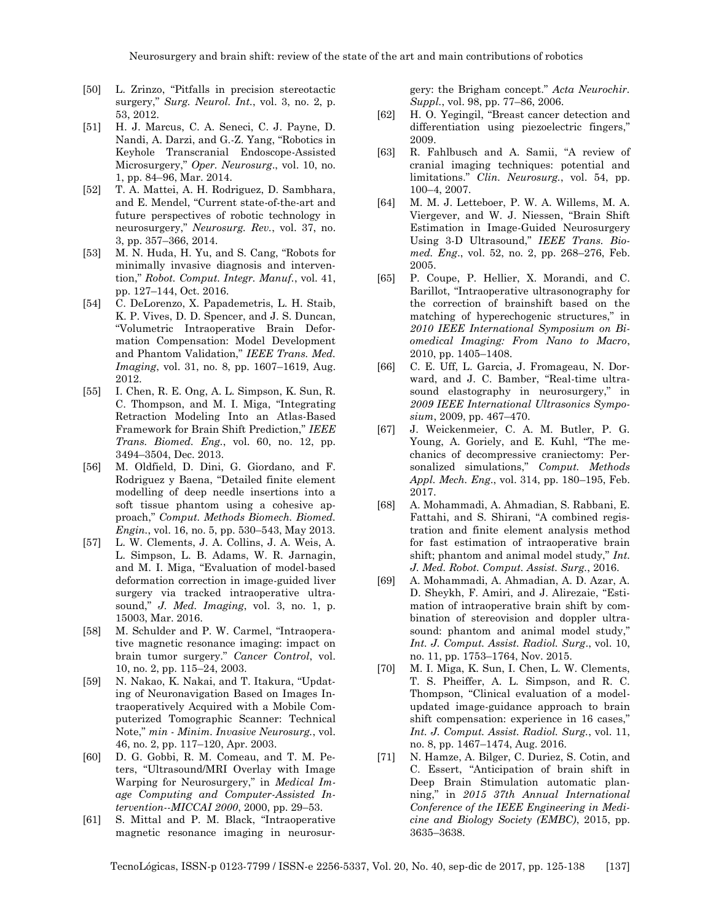- [50] L. Zrinzo, "Pitfalls in precision stereotactic surgery," *Surg. Neurol. Int.*, vol. 3, no. 2, p. 53, 2012.
- [51] H. J. Marcus, C. A. Seneci, C. J. Payne, D. Nandi, A. Darzi, and G.-Z. Yang, "Robotics in Keyhole Transcranial Endoscope-Assisted Microsurgery," *Oper. Neurosurg*., vol. 10, no. 1, pp. 84–96, Mar. 2014.
- [52] T. A. Mattei, A. H. Rodriguez, D. Sambhara, and E. Mendel, "Current state-of-the-art and future perspectives of robotic technology in neurosurgery," *Neurosurg. Rev.*, vol. 37, no. 3, pp. 357–366, 2014.
- [53] M. N. Huda, H. Yu, and S. Cang, "Robots for minimally invasive diagnosis and intervention," *Robot. Comput. Integr. Manuf.*, vol. 41, pp. 127–144, Oct. 2016.
- [54] C. DeLorenzo, X. Papademetris, L. H. Staib, K. P. Vives, D. D. Spencer, and J. S. Duncan, "Volumetric Intraoperative Brain Deformation Compensation: Model Development and Phantom Validation," *IEEE Trans. Med. Imaging*, vol. 31, no. 8, pp. 1607–1619, Aug. 2012.
- [55] I. Chen, R. E. Ong, A. L. Simpson, K. Sun, R. C. Thompson, and M. I. Miga, "Integrating Retraction Modeling Into an Atlas-Based Framework for Brain Shift Prediction," *IEEE Trans. Biomed. Eng.*, vol. 60, no. 12, pp. 3494–3504, Dec. 2013.
- [56] M. Oldfield, D. Dini, G. Giordano, and F. Rodriguez y Baena, "Detailed finite element modelling of deep needle insertions into a soft tissue phantom using a cohesive approach," *Comput. Methods Biomech. Biomed. Engin.*, vol. 16, no. 5, pp. 530–543, May 2013.
- [57] L. W. Clements, J. A. Collins, J. A. Weis, A. L. Simpson, L. B. Adams, W. R. Jarnagin, and M. I. Miga, "Evaluation of model-based deformation correction in image-guided liver surgery via tracked intraoperative ultrasound," *J. Med. Imaging*, vol. 3, no. 1, p. 15003, Mar. 2016.
- [58] M. Schulder and P. W. Carmel, "Intraoperative magnetic resonance imaging: impact on brain tumor surgery." *Cancer Control*, vol. 10, no. 2, pp. 115–24, 2003.
- [59] N. Nakao, K. Nakai, and T. Itakura, "Updating of Neuronavigation Based on Images Intraoperatively Acquired with a Mobile Computerized Tomographic Scanner: Technical Note," *min - Minim. Invasive Neurosurg.*, vol. 46, no. 2, pp. 117–120, Apr. 2003.
- [60] D. G. Gobbi, R. M. Comeau, and T. M. Peters, "Ultrasound/MRI Overlay with Image Warping for Neurosurgery," in *Medical Image Computing and Computer-Assisted Intervention--MICCAI 2000*, 2000, pp. 29–53.
- [61] S. Mittal and P. M. Black, "Intraoperative magnetic resonance imaging in neurosur-

gery: the Brigham concept." *Acta Neurochir. Suppl.*, vol. 98, pp. 77–86, 2006.

- [62] H. O. Yegingil, "Breast cancer detection and differentiation using piezoelectric fingers," 2009.
- [63] R. Fahlbusch and A. Samii, "A review of cranial imaging techniques: potential and limitations." *Clin. Neurosurg.*, vol. 54, pp. 100–4, 2007.
- [64] M. M. J. Letteboer, P. W. A. Willems, M. A. Viergever, and W. J. Niessen, "Brain Shift Estimation in Image-Guided Neurosurgery Using 3-D Ultrasound," *IEEE Trans. Biomed. Eng*., vol. 52, no. 2, pp. 268–276, Feb. 2005.
- [65] P. Coupe, P. Hellier, X. Morandi, and C. Barillot, "Intraoperative ultrasonography for the correction of brainshift based on the matching of hyperechogenic structures," in *2010 IEEE International Symposium on Biomedical Imaging: From Nano to Macro*, 2010, pp. 1405–1408.
- [66] C. E. Uff, L. Garcia, J. Fromageau, N. Dorward, and J. C. Bamber, "Real-time ultrasound elastography in neurosurgery," in *2009 IEEE International Ultrasonics Symposium*, 2009, pp. 467–470.
- [67] J. Weickenmeier, C. A. M. Butler, P. G. Young, A. Goriely, and E. Kuhl, "The mechanics of decompressive craniectomy: Personalized simulations," *Comput. Methods Appl. Mech. Eng*., vol. 314, pp. 180–195, Feb. 2017.
- [68] A. Mohammadi, A. Ahmadian, S. Rabbani, E. Fattahi, and S. Shirani, "A combined registration and finite element analysis method for fast estimation of intraoperative brain shift; phantom and animal model study," *Int. J. Med. Robot. Comput. Assist. Surg.*, 2016.
- [69] A. Mohammadi, A. Ahmadian, A. D. Azar, A. D. Sheykh, F. Amiri, and J. Alirezaie, "Estimation of intraoperative brain shift by combination of stereovision and doppler ultrasound: phantom and animal model study," *Int. J. Comput. Assist. Radiol. Surg*., vol. 10, no. 11, pp. 1753–1764, Nov. 2015.
- [70] M. I. Miga, K. Sun, I. Chen, L. W. Clements, T. S. Pheiffer, A. L. Simpson, and R. C. Thompson, "Clinical evaluation of a modelupdated image-guidance approach to brain shift compensation: experience in 16 cases," *Int. J. Comput. Assist. Radiol. Surg.*, vol. 11, no. 8, pp. 1467–1474, Aug. 2016.
- [71] N. Hamze, A. Bilger, C. Duriez, S. Cotin, and C. Essert, "Anticipation of brain shift in Deep Brain Stimulation automatic planning," in *2015 37th Annual International Conference of the IEEE Engineering in Medicine and Biology Society (EMBC)*, 2015, pp. 3635–3638.